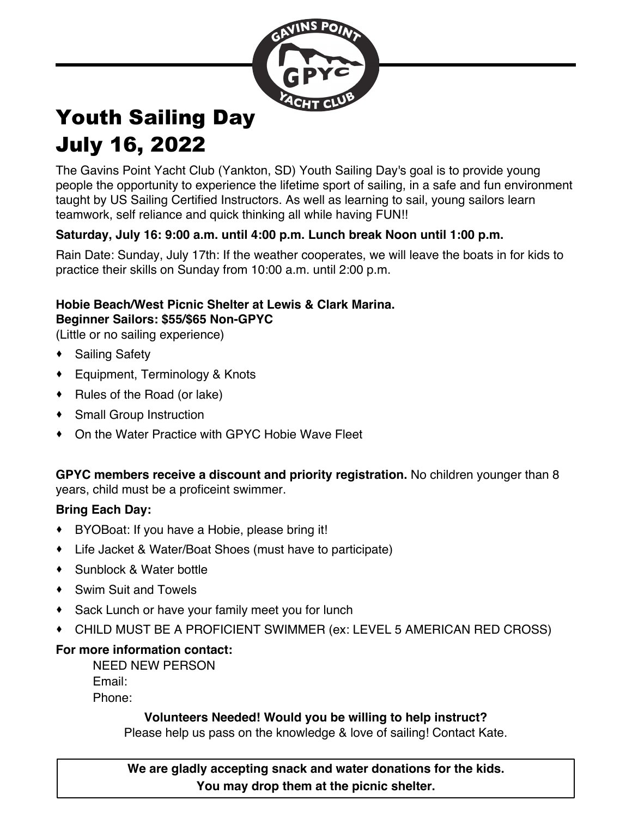

# Youth Sailing Day July 16, 2022

The Gavins Point Yacht Club (Yankton, SD) Youth Sailing Day's goal is to provide young people the opportunity to experience the lifetime sport of sailing, in a safe and fun environment taught by US Sailing Certified Instructors. As well as learning to sail, young sailors learn teamwork, self reliance and quick thinking all while having FUN!!

## **Saturday, July 16: 9:00 a.m. until 4:00 p.m. Lunch break Noon until 1:00 p.m.**

Rain Date: Sunday, July 17th: If the weather cooperates, we will leave the boats in for kids to practice their skills on Sunday from 10:00 a.m. until 2:00 p.m.

### **Hobie Beach/West Picnic Shelter at Lewis & Clark Marina. Beginner Sailors: \$55/\$65 Non-GPYC**

(Little or no sailing experience)

- · Sailing Safety
- · Equipment, Terminology & Knots
- · Rules of the Road (or lake)
- · Small Group Instruction
- · On the Water Practice with GPYC Hobie Wave Fleet

#### **GPYC members receive a discount and priority registration.** No children younger than 8 years, child must be a proficeint swimmer.

## **Bring Each Day:**

- · BYOBoat: If you have a Hobie, please bring it!
- · Life Jacket & Water/Boat Shoes (must have to participate)
- · Sunblock & Water bottle
- · Swim Suit and Towels
- · Sack Lunch or have your family meet you for lunch
- · CHILD MUST BE A PROFICIENT SWIMMER (ex: LEVEL 5 AMERICAN RED CROSS)

# **For more information contact:**

NEED NEW PERSON Email: Phone:

## **Volunteers Needed! Would you be willing to help instruct?**

Please help us pass on the knowledge & love of sailing! Contact Kate.

**We are gladly accepting snack and water donations for the kids. You may drop them at the picnic shelter.**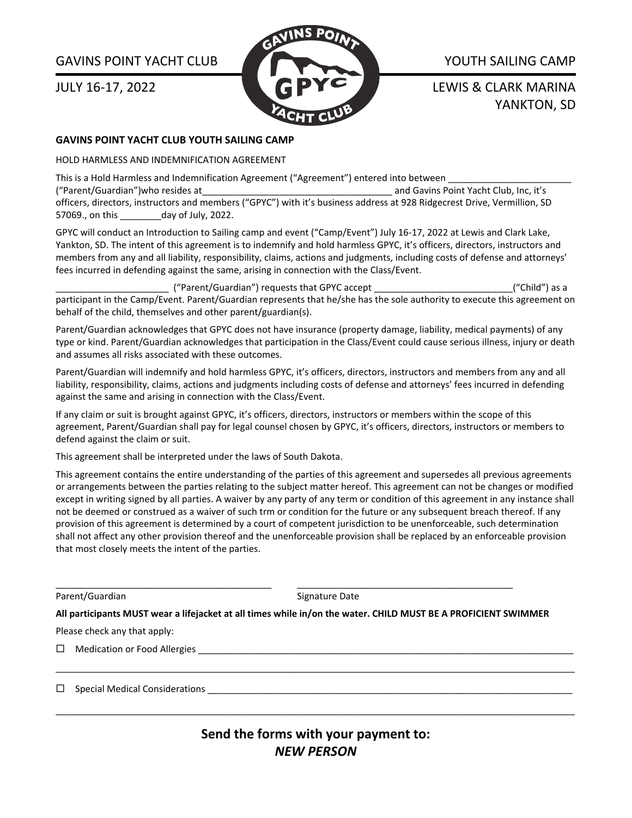#### GAVINS POINT YACHT CLUB

JULY 16-17, 2022



YOUTH SAILING CAMP

LEWIS & CLARK MARINA YANKTON, SD

#### **GAVINS POINT YACHT CLUB YOUTH SAILING CAMP**

HOLD HARMLESS AND INDEMNIFICATION AGREEMENT

This is a Hold Harmless and Indemnification Agreement ("Agreement") entered into between

("Parent/Guardian")who resides at\_\_\_\_\_\_\_\_\_\_\_\_\_\_\_\_\_\_\_\_\_\_\_\_\_\_\_\_\_\_\_\_\_\_\_\_\_ and Gavins Point Yacht Club, Inc, it's officers, directors, instructors and members ("GPYC") with it's business address at 928 Ridgecrest Drive, Vermillion, SD 57069., on this \_\_\_\_\_\_\_\_day of July, 2022.

GPYC will conduct an Introduction to Sailing camp and event ("Camp/Event") July 16-17, 2022 at Lewis and Clark Lake, Yankton, SD. The intent of this agreement is to indemnify and hold harmless GPYC, it's officers, directors, instructors and members from any and all liability, responsibility, claims, actions and judgments, including costs of defense and attorneys' fees incurred in defending against the same, arising in connection with the Class/Event.

\_\_\_\_\_\_\_\_\_\_\_\_\_\_\_\_\_\_\_\_\_\_ ("Parent/Guardian") requests that GPYC accept \_\_\_\_\_\_\_\_\_\_\_\_\_\_\_\_\_\_\_\_\_\_\_\_\_\_\_("Child") as a participant in the Camp/Event. Parent/Guardian represents that he/she has the sole authority to execute this agreement on behalf of the child, themselves and other parent/guardian(s).

Parent/Guardian acknowledges that GPYC does not have insurance (property damage, liability, medical payments) of any type or kind. Parent/Guardian acknowledges that participation in the Class/Event could cause serious illness, injury or death and assumes all risks associated with these outcomes.

Parent/Guardian will indemnify and hold harmless GPYC, it's officers, directors, instructors and members from any and all liability, responsibility, claims, actions and judgments including costs of defense and attorneys' fees incurred in defending against the same and arising in connection with the Class/Event.

If any claim or suit is brought against GPYC, it's officers, directors, instructors or members within the scope of this agreement, Parent/Guardian shall pay for legal counsel chosen by GPYC, it's officers, directors, instructors or members to defend against the claim or suit.

This agreement shall be interpreted under the laws of South Dakota.

This agreement contains the entire understanding of the parties of this agreement and supersedes all previous agreements or arrangements between the parties relating to the subject matter hereof. This agreement can not be changes or modified except in writing signed by all parties. A waiver by any party of any term or condition of this agreement in any instance shall not be deemed or construed as a waiver of such trm or condition for the future or any subsequent breach thereof. If any provision of this agreement is determined by a court of competent jurisdiction to be unenforceable, such determination shall not affect any other provision thereof and the unenforceable provision shall be replaced by an enforceable provision that most closely meets the intent of the parties.

Parent/Guardian Signature Date

All participants MUST wear a lifejacket at all times while in/on the water. CHILD MUST BE A PROFICIENT SWIMMER

\_\_\_\_\_\_\_\_\_\_\_\_\_\_\_\_\_\_\_\_\_\_\_\_\_\_\_\_\_\_\_\_\_\_\_\_\_\_\_\_\_\_ \_\_\_\_\_\_\_\_\_\_\_\_\_\_\_\_\_\_\_\_\_\_\_\_\_\_\_\_\_\_\_\_\_\_\_\_\_\_\_\_\_\_

Please check any that apply:

 $\Box$  Medication or Food Allergies  $\Box$ 

 $\Box$  Special Medical Considerations

**Send the forms with your payment to:** *NEW PERSON*

\_\_\_\_\_\_\_\_\_\_\_\_\_\_\_\_\_\_\_\_\_\_\_\_\_\_\_\_\_\_\_\_\_\_\_\_\_\_\_\_\_\_\_\_\_\_\_\_\_\_\_\_\_\_\_\_\_\_\_\_\_\_\_\_\_\_\_\_\_\_\_\_\_\_\_\_\_\_\_\_\_\_\_\_\_\_\_\_\_\_\_\_\_\_\_\_\_\_\_\_\_

\_\_\_\_\_\_\_\_\_\_\_\_\_\_\_\_\_\_\_\_\_\_\_\_\_\_\_\_\_\_\_\_\_\_\_\_\_\_\_\_\_\_\_\_\_\_\_\_\_\_\_\_\_\_\_\_\_\_\_\_\_\_\_\_\_\_\_\_\_\_\_\_\_\_\_\_\_\_\_\_\_\_\_\_\_\_\_\_\_\_\_\_\_\_\_\_\_\_\_\_\_